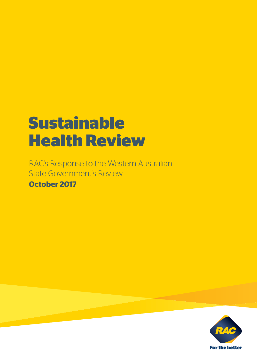# **Sustainable Health Review**

RAC's Response to the Western Australian State Government's Review

### **October 2017**

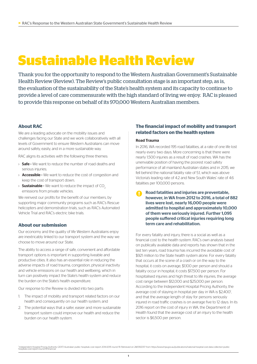## **Sustainable Health Review**

Thank you for the opportunity to respond to the Western Australian Government's Sustainable Health Review (Review). The Review's public consultation stage is an important step, as is, the evaluation of the sustainability of the State's health system and its capacity to continue to provide a level of care commensurate with the high standard of living we enjoy. RAC is pleased to provide this response on behalf of its 970,000 Western Australian members.

#### **About RAC**

We are a leading advocate on the mobility issues and challenges facing our State and we work collaboratively with all levels of Government to ensure Western Australians can move around safely, easily, and in a more sustainable way.

RAC aligns its activities with the following three themes:

- $\rightarrow$  Safe We want to reduce the number of road deaths and serious injuries:
- > **Accessible -** We want to reduce the cost of congestion and keep the cost of transport down;
- $\rightarrow$  **Sustainable -** We want to reduce the impact of CO<sub>2</sub> emissions from private vehicles.

We reinvest our profits for the benefit of our members, by supporting major community programs such as RAC's Rescue helicopters and demonstration trials, such as RAC's Automated Vehicle Trial and RAC's electric bike trials.

#### **About our submission**

Our economy and the quality of life Western Australians enjoy are inextricably linked to our transport system and the way we choose to move around our State.

The ability to access a range of safe, convenient and affordable transport options is important in supporting liveable and productive cities. It also has an essential role in reducing the adverse impacts of road trauma, congestion, physical inactivity and vehicle emissions on our health and wellbeing, which in turn can positively impact the State's health system and reduce the burden on the State's health expenditure.

Our response to the Review is divided into two parts:

- 1. The impact of mobility and transport related factors on our health and consequently on our health system; and
- 2. The potential ways that a safer, easier and more sustainable transport system could improve our health and reduce the burden on our health system.

#### **The financial impact of mobility and transport related factors on the health system**

#### Road Trauma

In 2016, WA recorded 195 road fatalities, at a rate of one life lost nearly every two days. More concerning is that there were nearly 1,500 injuries as a result of road crashes. WA has the unenviable position of having the poorest road safety performance of all mainland Australian states and in 2015, we fell behind the national fatality rate of 5.1, which was above Victoria's leading rate of 4.2 and New South Wales' rate of 4.6 fatalities per 100,000 persons.

Road fatalities and injuries are preventable, however, in WA from 2012 to 2016, a total of 882 lives were lost, nearly 16,000 people were admitted to hospital and approximately 10,000 of them were seriously injured. Further 1,095 people suffered critical injuries requiring long term care and rehabilitation.

For every fatality and injury, there is a social as well as a financial cost to the health system. RAC's own analysis based on publically available data and reports has shown that in the last ten years, road trauma has incurred the avoidable cost of \$921 million to the State health system alone. For every fatality that occurs at the scene of a crash or on the way to the hospital, it costs on average, \$1,100 per person and should a fatality occur in hospital, it costs \$17,500 per person. For hospitalised injuries and high threat to life injuries, the average cost range between \$12,000 and \$25,000 per person. According to the Independent Hospital Pricing Authority, the average cost of staying in hospital per day in WA is \$2,400<sup>1</sup>, and that the average length of stay for persons seriously injured in road traffic crashes is on average five to 12 days. In its 2016 report on the cost of injury in WA, the Department of Health found that the average cost of an injury to the health sector is \$6,500 per person.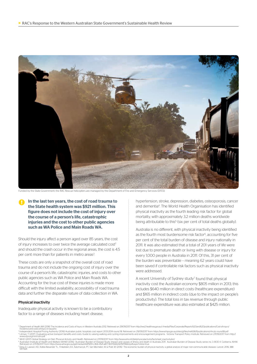

Funded by the State Government, the RAC Rescue helicopters are managed by the Department of Fire and Emergency Services (DFES).

In the last ten years, the cost of road trauma to  $\mathbf \Omega$ the State health system was \$921 million. This figure does not include the cost of injury over the course of a person's life, catastrophic injuries and the cost to other public agencies such as WA Police and Main Roads WA.

Should the injury affect a person aged over 85 years, the cost of injury increases to over twice the average calculated cost<sup>2</sup> and should the crash occur in the regional areas, the cost is 4.5 per cent more than for patients in metro areas<sup>3</sup>.

These costs are only a snapshot of the overall cost of road trauma and do not include the ongoing cost of injury over the course of a person's life, catastrophic injuries, and costs to other public agencies such as WA Police and Main Roads WA. Accounting for the true cost of these injuries is made more difficult with the limited availability, accessibility of road trauma data and further the disparate nature of data collection in WA.

#### Physical inactivity

Inadequate physical activity is known to be a contributory factor to a range of diseases including heart disease,

hypertension, stroke, depression, diabetes, osteoporosis, cancer and dementia<sup>4</sup>. The World Health Organisation has identified physical inactivity as the fourth leading risk factor for global mortality, with approximately 3.2 million deaths worldwide being attributable to this<sup>5</sup> (six per cent of total deaths globally).

Australia is no different, with physical inactivity being identified as the fourth most burdensome risk factor<sup>6</sup>, accounting for five per cent of the total burden of disease and injury nationally in 2011. It was also estimated that a total of 201 years of life were lost due to premature death or living with disease or injury for every 1,000 people in Australia in 2011. Of this, 31 per cent of the burden was preventable – meaning 62 years could have been saved if controllable risk factors such as physical inactivity were addressed.

A recent University of Sydney study<sup>7</sup> found that physical inactivity cost the Australian economy \$805 million in 2013; this includes \$640 million in direct costs (healthcare expenditure) and \$165 million in indirect costs (due to the impact on people's productivity). The total loss in tax revenue through public healthcare expenditure was also estimated at \$425 million.

- 5 WHO (2017) Global Strategy on Diet, Physical Activity and Health. Retrieved on 27/09/2017 from http://www.who.int/dietphysicalactivity/factsheet\_inactivity/en/ <sup>6</sup> Australian Institute of Health and Welfare (AIHW) (2016) Australian Burden of Disease Study: Impact and causes of illness and death in Australia 2011. Australian Burden of Disease Study series no. 3. BOD 4. Canberra: AIHW.
- . Retrieved on 27/09/2017 from https://www.aihw.gov.au/getmedia/d4df9251-c4b6-452f-a877-8370b6124219/19663.pdf.aspx?inline=true<br>7 Ding, D. Lawson, KD, Kolbe Alexander TL, Finkelstein, EA, Kalzmarzyk, PT, Van Mechelen, W. &

<sup>2</sup> Department of Health WA (2016) The Incidence and Costs of Injury in Western Australia 2012. Retrieved on 29/09/2017 from http://ww2.health.wa.gov.au/~/media/Files/Corporate/Reports%20and%20publications/Cost-of-injury/ holdence and costs of injury in waashx<br>Independent Hospital Pricing Authority (2016) Australian public hospitals cost report 2013-2014 round 18. Retrieved on 29/09/2017 from https://www.ihpa.gov.au/sites/g/files/net636/f/p 4 Liman, T. (2017) Evaluating active transport benefits and costs: Guide to valuing walking and cycling improvements and encouragement programs. Victoria Transport Policy Institute. Retrieved on 27/09/2017 from http://<br>www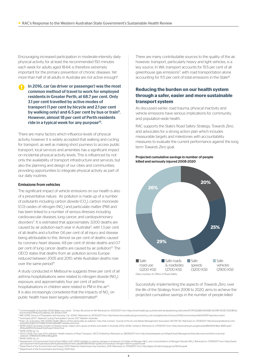Encouraging increased participation in moderate-intensity daily physical activity, for at least the recommended 150 minutes each week for adults aged 18-64, is therefore extremely important for the primary prevention of chronic diseases. Yet more than half of all adults in Australia are not active enough<sup>8</sup>. .

In 2016, car (as driver or passenger) was the most common method of travel to work for employed residents in Greater Perth, at 68.7 per cent. Only 3.1 per cent travelled by active modes of transport (1 per cent by bicycle and 2.1 per cent by walking only) and 6.5 per cent by bus or train<sup>9</sup>. However, almost 18 per cent of Perth residents ride in a typical week for any purpose<sup>10</sup>.

There are many factors which influence levels of physical activity, however it is widely accepted that walking and cycling for transport, as well as making short journeys to access public transport, local services and amenities has a significant impact on incidental physical activity levels. This is influenced by not only the availability of transport infrastructure and services, but also the planning and design of our cities and communities, providing opportunities to integrate physical activity as part of our daily routines.

#### Emissions from vehicles

The significant impact of vehicle emissions on our health is also of a preventative nature. Air pollution is made up of a number of pollutants including carbon dioxide (CO<sub>2</sub>), carbon monoxide (CO) oxides of nitrogen (NO $_{\!\chi}$ ) and particulate matter (PM) and has been linked to a number of serious illnesses including cardiovascular diseases, lung cancer, and cardiopulmonary disorders<sup>11</sup>. It is estimated that approximately 3,000 deaths are caused by air pollution each year in Australia<sup>12</sup>, with 1.3 per cent of all deaths and a further 0.6 per cent of all injury and disease being attributable to this. Almost six per cent of deaths caused by coronary heart disease, 4.8 per cent of stroke deaths and 0.7 per cent of lung cancer deaths are caused by air pollution<sup>13</sup>. The OECD states that deaths from air pollution across Europe reduced between 2005 and 2010, while Australian deaths rose over the same period<sup>14</sup>.

A study conducted in Melbourne suggests three per cent of all asthma hospitalisations were related to nitrogen dioxide (NO<sub>2</sub>) exposure, and approximately four per cent of asthma hospitalisations in children were related to PM in the air<sup>15</sup>. It is also increasingly considered that the impacts of  $\mathsf{NO}_{\mathsf{x}}$  on public health have been largely underestimated<sup>16</sup>.

There are many contributable sources to the quality of the air, however, transport, particularly heavy and light vehicles, is a key source. In WA, transport accounts for 15.5 per cent of all  $greenhouse$  gas emissions $\frac{1}{7}$ , with road transportation alone accounting for 11.5 per cent of total emissions in the State<sup>18</sup>.

#### **Reducing the burden on our health system through a safer, easier and more sustainable transport system**

As discussed earlier, road trauma, physical inactivity and vehicle emissions have serious implications for community, and population-wide health.

RAC supports the State's Road Safety Strategy, *Towards Zero*, and advocates for a strong action plan which includes measurable targets and milestones with accountability measures to evaluate the current performance against the long term *Towards Zero* goal.





Successfully implementing the aspects of *Towards Zero*, over the life of the Strategy from 2008 to 2020, aims to achieve the projected cumulative savings in the number of people killed

<sup>18</sup> Department of the Environment and Energy (2017) Ibid.

<sup>®</sup> Commonwealth of Australia (2014) Make your move - Sit less, Be active for life! Retrieved on 10/10/2017 from https://www.health.gov.au/internet/main/publishing.nsf/content/F01F92328EDADA5BCA257BF0001E720D/\$File.<br>- brochu 9 ABS (2016) Census of Population and Housing. Cat. 2024.0. Retrieved on 25/10/2017 from http://www.censusdata.abs.gov.au/census\_services/getproduct/census/2016/communityprofile/5GPER?opendocument.

<sup>&</sup>lt;sup>2</sup> Austroads (2017) National Cycling Participation Survey 2017: Western Australia

<sup>®</sup> Pope. CA, & Dockery, DW. (2006) Health effects of fine particulate air pollution: lines that connect. Journal of the Air and Waste Management Association 56709-742. Retrieved on 27/09/2017 http://www.tandfonline.com<br>- do

<sup>&</sup>quot; AlHW (2007) Australian burden of disease study: impact and causes of illness and death in Australia 2003, AlHW, Canberra. Retrieved on 27/09/2017 from https://www.aihw.gov.au/getmedia/f81b92b3·18a2-4669-aad3<br>- 653aa3a9f0

<sup>®</sup> AlHW (2016) op. cit.<br>™ OECD (2014) The Cost of Air pollution: Health Impacts of Road Transport, OECD Publishing. Retrieved on 28/09/2017 from http://www.keepeek.com/Digital-Asset-Management/oecd/environment/the-cost-of-

<sup>®</sup> Department of Environment Food & Rural Affairs (UN) (2015) Updates in valuing changes in emissions of Oxides of Nitogen Dixide (NO\_). Retrieved on 27/09/2017 from https://www.<br>© govuk/government/uploads/system/uploads/at gov.uk/government/uploads/system/uploads/attachment\_data/file/460401/air-qŭality-econanalysis-nitrogen-interim-guidance.pdf \*<br>Department of the Environment and Energy (2017) National Greenhouse Gas Inventory 2015. Retrieve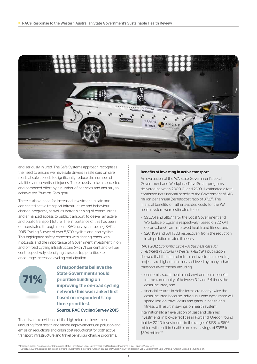

and seriously injured. The Safe Systems approach recognises the need to ensure we have safe drivers in safe cars on safe roads at safe speeds to significantly reduce the number of fatalities and severity of injuries. There needs to be a concerted and combined effort by a number of agencies and industry to achieve the *Towards Zero* goal.

There is also a need for increased investment in safe and connected active transport infrastructure and behaviour change programs, as well as better planning of communities and enhanced access to public transport, to deliver an active and public transport future. The importance of this has been demonstrated through recent RAC surveys, including RAC's 2015 Cycling Survey of over 5,500 cyclists and non-cyclists. This highlighted safety concerns with sharing roads with motorists and the importance of Government investment in on and off-road cycling infrastructure (with 71 per cent and 64 per cent respectively identifying these as top priorities) to encourage increased cycling participation.



of respondents believe the State Government should prioritise building on improving the on-road cycling network (this was ranked first based on respondent's top three priorities).

#### Source: RAC Cycling Survey 2015

There is ample evidence of the high return on investment (including from health and fitness improvements, air pollution and emission reductions and crash cost reductions) for both active transport infrastructure and travel behaviour change programs.

#### Benefits of investing in active transport

An evaluation of the WA State Government's Local Government and Workplace TravelSmart programs, delivered between 2000-01 and 2010-11, estimated a total combined net financial benefit to the Government of \$1.6 million per annual (benefit-cost ratio of 3.72)19. The financial benefits, or rather avoided costs, for the WA health system were estimated to be:

- › \$95,751 and \$115,441 for the Local Government and Workplace programs respectively (based on 2010-11 dollar values) from improved health and fitness; and
- › \$261,109 and \$314,803 respectively from the reduction in air pollution related illnesses.

RAC's 2012 *Economic Cycle – A business case for investment in cycling in Western Australia* publication showed that the rates of return on investment in cycling projects are higher than those achieved by many urban transport investments, including:

- › economic, social, health and environmental benefits for the community of between 3.4 and 5.4 times the costs incurred; and
- › financial returns in dollar terms are nearly twice the costs incurred because individuals who cycle more will spend less on travel costs and gains in health and fitness will result in savings on health system.

Internationally, an evaluation of past and planned investments in bicycle facilities in Portland, Oregon found that by 2040, investments in the range of \$138 to \$605 million will result in health care cost savings of \$388 to \$594 million20.

19 Marsden Jacobs Associates (2011) Evaluation of the TravelSmart Local Government and Workplace Programs. Final Report, 27 July 2011. <sup>20</sup> Gotschi, T. (2011) Costs and benefits of bicycling investments in Portland, Oregon, Journal of Physical Activity and Health, Vol. 8, Supplement 1, pp. S49-S58. Cited in: Litman, T. (2017) op. cit.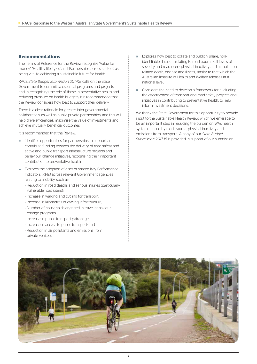#### **Recommendations**

The Terms of Reference for the Review recognise 'Value for money', 'Healthy lifestyles' and 'Partnerships across sectors' as being vital to achieving a sustainable future for health.

RAC's *State Budget Submission 2017-18* calls on the State Government to commit to essential programs and projects, and in recognising the role of these in preventative health and reducing pressure on health budgets, it is recommended that the Review considers how best to support their delivery.

There is a clear rationale for greater inter-governmental collaboration, as well as public-private partnerships, and this will help drive efficiencies, maximise the value of investments and achieve mutually beneficial outcomes.

It is recommended that the Review:

- **»** Identifies opportunities for partnerships to support and contribute funding towards the delivery of road safety and active and public transport infrastructure projects and behaviour change initiatives, recognising their important contribution to preventative health.
- **»** Explores the adoption of a set of shared Key Performance Indicators (KPIs) across relevant Government agencies relating to mobility, such as:
	- › Reduction in road deaths and serious injuries (particularly vulnerable road users);
	- › Increase in walking and cycling for transport;
	- › Increase in kilometres of cycling infrastructure;
	- › Number of households engaged in travel behaviour change programs;
	- › Increase in public transport patronage;
	- › Increase in access to public transport; and
	- › Reduction in air pollutants and emissions from private vehicles.
- **»** Explores how best to collate and publicly share, nonidentifiable datasets relating to road trauma (all levels of severity and road user), physical inactivity and air pollution related death, disease and illness, similar to that which the Australian Institute of Health and Welfare releases at a national level.
- **»** Considers the need to develop a framework for evaluating the effectiveness of transport and road safety projects and initiatives in contributing to preventative health, to help inform investment decisions.

We thank the State Government for this opportunity to provide input to the Sustainable Health Review, which we envisage to be an important step in reducing the burden on WA's health system caused by road trauma, physical inactivity and emissions from transport. A copy of our *State Budget Submission 2017-18* is provided in support of our submission.

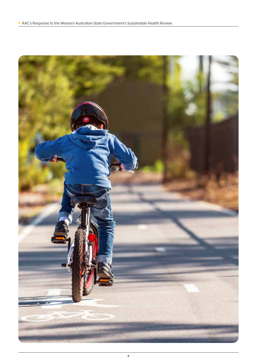